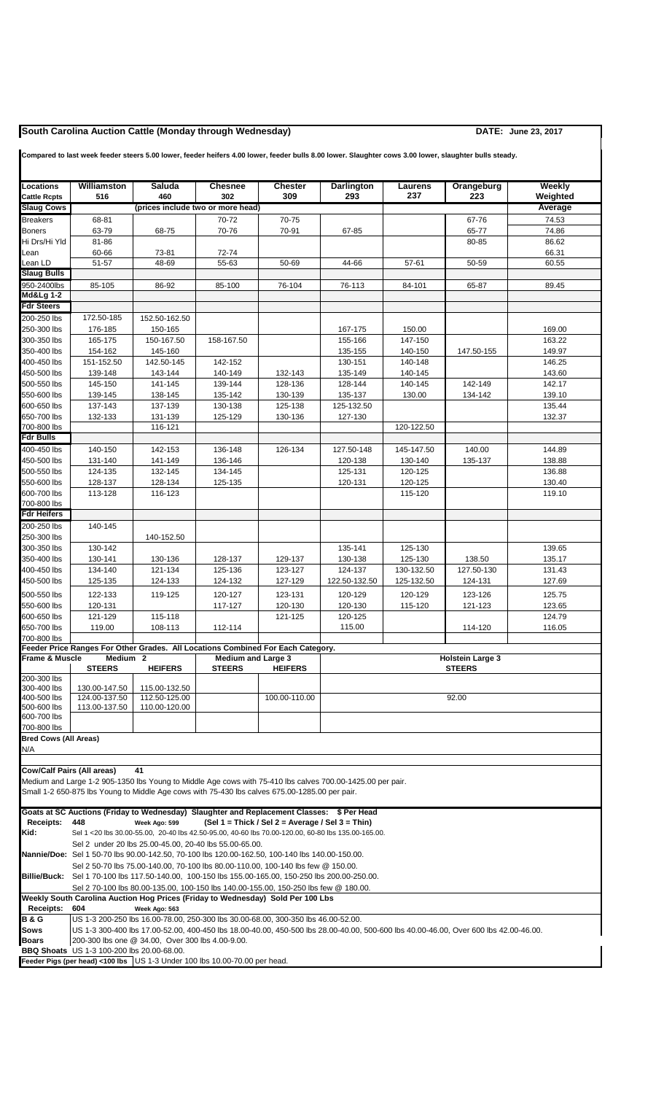## **South Carolina Auction Cattle (Monday through Wednesday) DATE: June 23, 2017**

| Locations<br><b>Cattle Rcpts</b> | Williamston<br>516                                                                                                                                                                                                        | Saluda<br>460                                                                                                                                                   | <b>Chesnee</b><br>302                      | <b>Chester</b><br>309                            | Darlington<br>293                                                                                          | Laurens<br>237        | Orangeburg<br>223    | Weekly<br>Weighted |  |  |  |
|----------------------------------|---------------------------------------------------------------------------------------------------------------------------------------------------------------------------------------------------------------------------|-----------------------------------------------------------------------------------------------------------------------------------------------------------------|--------------------------------------------|--------------------------------------------------|------------------------------------------------------------------------------------------------------------|-----------------------|----------------------|--------------------|--|--|--|
| <b>Slaug Cows</b>                |                                                                                                                                                                                                                           | (prices include two or more head)                                                                                                                               |                                            |                                                  |                                                                                                            |                       |                      | Average            |  |  |  |
| <b>Breakers</b>                  | 68-81                                                                                                                                                                                                                     |                                                                                                                                                                 | 70-72                                      | 70-75                                            |                                                                                                            |                       | 67-76                | 74.53              |  |  |  |
| <b>Boners</b>                    | 63-79                                                                                                                                                                                                                     | 68-75                                                                                                                                                           | 70-76                                      | 70-91                                            | 67-85                                                                                                      |                       | 65-77                | 74.86              |  |  |  |
| Hi Drs/Hi Yld                    | 81-86                                                                                                                                                                                                                     |                                                                                                                                                                 |                                            |                                                  |                                                                                                            |                       | 80-85                | 86.62              |  |  |  |
| Lean                             | 60-66                                                                                                                                                                                                                     | 73-81                                                                                                                                                           | 72-74                                      |                                                  |                                                                                                            |                       |                      | 66.31              |  |  |  |
| Lean LD<br><b>Slaug Bulls</b>    | 51-57                                                                                                                                                                                                                     | 48-69                                                                                                                                                           | 55-63                                      | 50-69                                            | 44-66                                                                                                      | 57-61                 | 50-59                | 60.55              |  |  |  |
| 950-2400lbs                      | 85-105                                                                                                                                                                                                                    | 86-92                                                                                                                                                           | 85-100                                     | 76-104                                           | 76-113                                                                                                     | 84-101                | 65-87                | 89.45              |  |  |  |
| <b>Md&amp;Lg 1-2</b>             |                                                                                                                                                                                                                           |                                                                                                                                                                 |                                            |                                                  |                                                                                                            |                       |                      |                    |  |  |  |
| <b>Fdr Steers</b>                |                                                                                                                                                                                                                           |                                                                                                                                                                 |                                            |                                                  |                                                                                                            |                       |                      |                    |  |  |  |
| 200-250 lbs                      | 172.50-185                                                                                                                                                                                                                | 152.50-162.50                                                                                                                                                   |                                            |                                                  |                                                                                                            |                       |                      |                    |  |  |  |
| 250-300 lbs                      | 176-185                                                                                                                                                                                                                   | 150-165                                                                                                                                                         |                                            |                                                  | 167-175                                                                                                    | 150.00                |                      | 169.00             |  |  |  |
| 300-350 lbs                      | 165-175                                                                                                                                                                                                                   | 150-167.50                                                                                                                                                      | 158-167.50                                 |                                                  | 155-166                                                                                                    | 147-150               |                      | 163.22             |  |  |  |
| 350-400 lbs                      | 154-162                                                                                                                                                                                                                   | 145-160                                                                                                                                                         |                                            |                                                  | 135-155                                                                                                    | 140-150               | 147.50-155           | 149.97             |  |  |  |
| 400-450 lbs<br>450-500 lbs       | 151-152.50                                                                                                                                                                                                                | 142.50-145                                                                                                                                                      | 142-152                                    |                                                  | 130-151                                                                                                    | 140-148               |                      | 146.25             |  |  |  |
| 500-550 lbs                      | 139-148<br>145-150                                                                                                                                                                                                        | 143-144<br>141-145                                                                                                                                              | 140-149<br>139-144                         | 132-143<br>128-136                               | 135-149<br>128-144                                                                                         | 140-145<br>140-145    | 142-149              | 143.60<br>142.17   |  |  |  |
| 550-600 lbs                      | 139-145                                                                                                                                                                                                                   | 138-145                                                                                                                                                         | 135-142                                    | 130-139                                          | 135-137                                                                                                    | 130.00                | 134-142              | 139.10             |  |  |  |
| 600-650 lbs                      | 137-143                                                                                                                                                                                                                   | 137-139                                                                                                                                                         | 130-138                                    | 125-138                                          | 125-132.50                                                                                                 |                       |                      | 135.44             |  |  |  |
| 650-700 lbs                      | 132-133                                                                                                                                                                                                                   | 131-139                                                                                                                                                         | 125-129                                    | 130-136                                          | 127-130                                                                                                    |                       |                      | 132.37             |  |  |  |
| 700-800 lbs                      |                                                                                                                                                                                                                           | 116-121                                                                                                                                                         |                                            |                                                  |                                                                                                            | 120-122.50            |                      |                    |  |  |  |
| <b>Fdr Bulls</b>                 |                                                                                                                                                                                                                           |                                                                                                                                                                 |                                            |                                                  |                                                                                                            |                       |                      |                    |  |  |  |
| 400-450 lbs                      | 140-150                                                                                                                                                                                                                   | 142-153                                                                                                                                                         | 136-148                                    | 126-134                                          | 127.50-148                                                                                                 | 145-147.50            | 140.00               | 144.89             |  |  |  |
| 450-500 lbs<br>500-550 lbs       | 131-140<br>124-135                                                                                                                                                                                                        | 141-149<br>132-145                                                                                                                                              | 136-146<br>134-145                         |                                                  | 120-138<br>125-131                                                                                         | 130-140<br>120-125    | 135-137              | 138.88<br>136.88   |  |  |  |
| 550-600 lbs                      | 128-137                                                                                                                                                                                                                   | 128-134                                                                                                                                                         | 125-135                                    |                                                  | 120-131                                                                                                    | 120-125               |                      | 130.40             |  |  |  |
| 600-700 lbs                      | 113-128                                                                                                                                                                                                                   | 116-123                                                                                                                                                         |                                            |                                                  |                                                                                                            | 115-120               |                      | 119.10             |  |  |  |
| 700-800 lbs                      |                                                                                                                                                                                                                           |                                                                                                                                                                 |                                            |                                                  |                                                                                                            |                       |                      |                    |  |  |  |
| <b>Fdr Heifers</b>               |                                                                                                                                                                                                                           |                                                                                                                                                                 |                                            |                                                  |                                                                                                            |                       |                      |                    |  |  |  |
| 200-250 lbs                      | 140-145                                                                                                                                                                                                                   |                                                                                                                                                                 |                                            |                                                  |                                                                                                            |                       |                      |                    |  |  |  |
| 250-300 lbs                      |                                                                                                                                                                                                                           | 140-152.50                                                                                                                                                      |                                            |                                                  |                                                                                                            |                       |                      |                    |  |  |  |
| 300-350 lbs                      | 130-142                                                                                                                                                                                                                   |                                                                                                                                                                 |                                            |                                                  | 135-141                                                                                                    | 125-130               |                      | 139.65             |  |  |  |
| 350-400 lbs<br>400-450 lbs       | 130-141<br>134-140                                                                                                                                                                                                        | 130-136<br>121-134                                                                                                                                              | 128-137<br>125-136                         | 129-137<br>123-127                               | 130-138<br>124-137                                                                                         | 125-130<br>130-132.50 | 138.50<br>127.50-130 | 135.17<br>131.43   |  |  |  |
| 450-500 lbs                      | 125-135                                                                                                                                                                                                                   | 124-133                                                                                                                                                         | 124-132                                    | 127-129                                          | 122.50-132.50                                                                                              | 125-132.50            | 124-131              | 127.69             |  |  |  |
| 500-550 lbs                      | 122-133                                                                                                                                                                                                                   | 119-125                                                                                                                                                         | 120-127                                    | 123-131                                          | 120-129                                                                                                    | 120-129               | 123-126              | 125.75             |  |  |  |
| 550-600 lbs                      | 120-131                                                                                                                                                                                                                   |                                                                                                                                                                 | 117-127                                    | 120-130                                          | 120-130                                                                                                    | 115-120               | 121-123              | 123.65             |  |  |  |
| 600-650 lbs                      | 121-129                                                                                                                                                                                                                   | 115-118                                                                                                                                                         |                                            | 121-125                                          | 120-125                                                                                                    |                       |                      | 124.79             |  |  |  |
| 650-700 lbs                      | 119.00                                                                                                                                                                                                                    | 108-113                                                                                                                                                         | 112-114                                    |                                                  | 115.00                                                                                                     |                       | 114-120              | 116.05             |  |  |  |
| 700-800 lbs                      |                                                                                                                                                                                                                           |                                                                                                                                                                 |                                            |                                                  |                                                                                                            |                       |                      |                    |  |  |  |
| Frame & Muscle                   |                                                                                                                                                                                                                           | Feeder Price Ranges For Other Grades. All Locations Combined For Each Category.                                                                                 |                                            |                                                  |                                                                                                            |                       |                      |                    |  |  |  |
|                                  | Medium <sub>2</sub><br><b>STEERS</b>                                                                                                                                                                                      | <b>HEIFERS</b>                                                                                                                                                  | <b>Medium and Large 3</b><br><b>STEERS</b> | <b>HEIFERS</b>                                   | <b>Holstein Large 3</b><br><b>STEERS</b>                                                                   |                       |                      |                    |  |  |  |
| 200-300 lbs                      |                                                                                                                                                                                                                           |                                                                                                                                                                 |                                            |                                                  |                                                                                                            |                       |                      |                    |  |  |  |
| 300-400 lbs                      | 130.00-147.50                                                                                                                                                                                                             | 115.00-132.50                                                                                                                                                   |                                            |                                                  |                                                                                                            |                       |                      |                    |  |  |  |
| 400-500 lbs                      | 124.00-137.50                                                                                                                                                                                                             | 112.50-125.00                                                                                                                                                   |                                            | 100.00-110.00                                    |                                                                                                            |                       | 92.00                |                    |  |  |  |
| 500-600 lbs<br>600-700 lbs       | 113.00-137.50                                                                                                                                                                                                             | 110.00-120.00                                                                                                                                                   |                                            |                                                  |                                                                                                            |                       |                      |                    |  |  |  |
| 700-800 lbs                      |                                                                                                                                                                                                                           |                                                                                                                                                                 |                                            |                                                  |                                                                                                            |                       |                      |                    |  |  |  |
| <b>Bred Cows (All Areas)</b>     |                                                                                                                                                                                                                           |                                                                                                                                                                 |                                            |                                                  |                                                                                                            |                       |                      |                    |  |  |  |
| N/A                              |                                                                                                                                                                                                                           |                                                                                                                                                                 |                                            |                                                  |                                                                                                            |                       |                      |                    |  |  |  |
|                                  |                                                                                                                                                                                                                           |                                                                                                                                                                 |                                            |                                                  |                                                                                                            |                       |                      |                    |  |  |  |
| Cow/Calf Pairs (All areas)       |                                                                                                                                                                                                                           | 41                                                                                                                                                              |                                            |                                                  | Medium and Large 1-2 905-1350 lbs Young to Middle Age cows with 75-410 lbs calves 700.00-1425.00 per pair. |                       |                      |                    |  |  |  |
|                                  |                                                                                                                                                                                                                           | Small 1-2 650-875 lbs Young to Middle Age cows with 75-430 lbs calves 675.00-1285.00 per pair.                                                                  |                                            |                                                  |                                                                                                            |                       |                      |                    |  |  |  |
|                                  |                                                                                                                                                                                                                           |                                                                                                                                                                 |                                            |                                                  |                                                                                                            |                       |                      |                    |  |  |  |
|                                  |                                                                                                                                                                                                                           | Goats at SC Auctions (Friday to Wednesday) Slaughter and Replacement Classes: \$ Per Head                                                                       |                                            |                                                  |                                                                                                            |                       |                      |                    |  |  |  |
| Receipts:                        | 448                                                                                                                                                                                                                       | Week Ago: 599                                                                                                                                                   |                                            | (Sel 1 = Thick / Sel 2 = Average / Sel 3 = Thin) |                                                                                                            |                       |                      |                    |  |  |  |
| Kid:                             |                                                                                                                                                                                                                           |                                                                                                                                                                 |                                            |                                                  | Sel 1 <20 lbs 30.00-55.00, 20-40 lbs 42.50-95.00, 40-60 lbs 70.00-120.00, 60-80 lbs 135.00-165.00.         |                       |                      |                    |  |  |  |
|                                  |                                                                                                                                                                                                                           | Sel 2 under 20 lbs 25.00-45.00, 20-40 lbs 55.00-65.00.<br><b>Nannie/Doe:</b> Sel 1 50-70 lbs 90.00-142.50, 70-100 lbs 120.00-162.50, 100-140 lbs 140.00-150.00. |                                            |                                                  |                                                                                                            |                       |                      |                    |  |  |  |
|                                  |                                                                                                                                                                                                                           | Sel 2 50-70 lbs 75.00-140.00, 70-100 lbs 80.00-110.00, 100-140 lbs few @ 150.00.                                                                                |                                            |                                                  |                                                                                                            |                       |                      |                    |  |  |  |
|                                  |                                                                                                                                                                                                                           | <b>Billie/Buck:</b> Sel 1 70-100 lbs 117.50-140.00, 100-150 lbs 155.00-165.00, 150-250 lbs 200.00-250.00.                                                       |                                            |                                                  |                                                                                                            |                       |                      |                    |  |  |  |
|                                  |                                                                                                                                                                                                                           | Sel 2 70-100 lbs 80.00-135.00, 100-150 lbs 140.00-155.00, 150-250 lbs few @ 180.00.                                                                             |                                            |                                                  |                                                                                                            |                       |                      |                    |  |  |  |
|                                  | Weekly South Carolina Auction Hog Prices (Friday to Wednesday) Sold Per 100 Lbs                                                                                                                                           |                                                                                                                                                                 |                                            |                                                  |                                                                                                            |                       |                      |                    |  |  |  |
| Receipts:                        | 604<br>Week Ago: 563                                                                                                                                                                                                      |                                                                                                                                                                 |                                            |                                                  |                                                                                                            |                       |                      |                    |  |  |  |
| <b>B&amp;G</b><br>Sows           | US 1-3 200-250 lbs 16.00-78.00, 250-300 lbs 30.00-68.00, 300-350 lbs 46.00-52.00.<br>US 1-3 300-400 lbs 17.00-52.00, 400-450 lbs 18.00-40.00, 450-500 lbs 28.00-40.00, 500-600 lbs 40.00-46.00, Over 600 lbs 42.00-46.00. |                                                                                                                                                                 |                                            |                                                  |                                                                                                            |                       |                      |                    |  |  |  |
| <b>Boars</b>                     | 200-300 lbs one @ 34.00, Over 300 lbs 4.00-9.00.                                                                                                                                                                          |                                                                                                                                                                 |                                            |                                                  |                                                                                                            |                       |                      |                    |  |  |  |
|                                  | <b>BBQ Shoats</b> US 1-3 100-200 lbs 20.00-68.00.                                                                                                                                                                         |                                                                                                                                                                 |                                            |                                                  |                                                                                                            |                       |                      |                    |  |  |  |
|                                  |                                                                                                                                                                                                                           | Feeder Pigs (per head) <100 lbs $\vert$ US 1-3 Under 100 lbs 10.00-70.00 per head.                                                                              |                                            |                                                  |                                                                                                            |                       |                      |                    |  |  |  |

**Compared to last week feeder steers 5.00 lower, feeder heifers 4.00 lower, feeder bulls 8.00 lower. Slaughter cows 3.00 lower, slaughter bulls steady.**